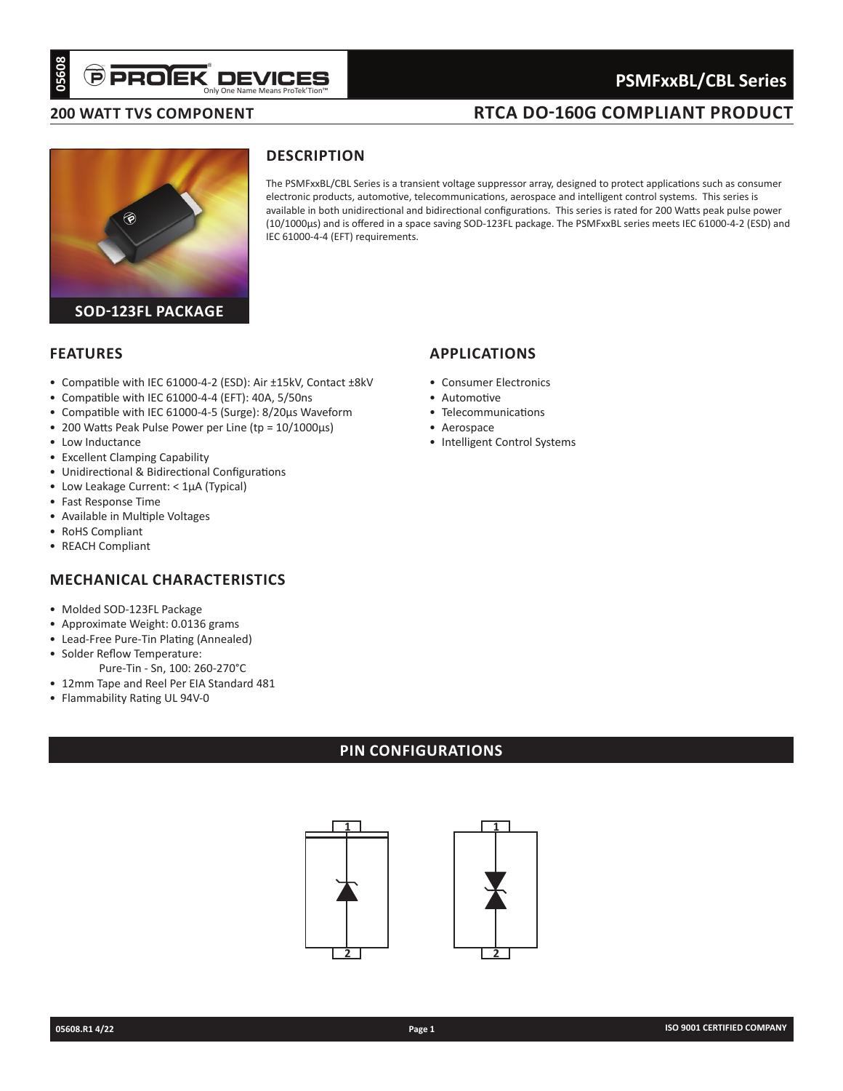# Only One Name Means ProTek'Tion™

# **PSMFxxBL/CBL Series**

### **200 Watt TVS component**

# **RTCA DO-160G COMPLIANT PRODUCT**



# **Description**

The PSMFxxBL/CBL Series is a transient voltage suppressor array, designed to protect applications such as consumer electronic products, automotive, telecommunications, aerospace and intelligent control systems. This series is available in both unidirectional and bidirectional configurations. This series is rated for 200 Watts peak pulse power (10/1000µs) and is offered in a space saving SOD-123FL package. The PSMFxxBL series meets IEC 61000-4-2 (ESD) and IEC 61000-4-4 (EFT) requirements.

### **Features**

- • Compatible with IEC 61000-4-2 (ESD): Air ±15kV, Contact ±8kV
- Compatible with IEC 61000-4-4 (EFT): 40A, 5/50ns
- • Compatible with IEC 61000-4-5 (Surge): 8/20µs Waveform
- • 200 Watts Peak Pulse Power per Line (tp = 10/1000µs)
- Low Inductance
- • Excellent Clamping Capability
- • Unidirectional & Bidirectional Configurations
- • Low Leakage Current: < 1µA (Typical)
- • Fast Response Time
- • Available in Multiple Voltages
- • RoHS Compliant
- • REACH Compliant

# **Mechanical characteristics**

- • Molded SOD-123FL Package
- • Approximate Weight: 0.0136 grams
- • Lead-Free Pure-Tin Plating (Annealed)
- • Solder Reflow Temperature:
- Pure-Tin Sn, 100: 260-270°C
- 12mm Tape and Reel Per EIA Standard 481
- • Flammability Rating UL 94V-0

# **PIN CONFIGURATIONs**



# **applications**

- • Consumer Electronics
- • Automotive
- • Telecommunications
- • Aerospace
- Intelligent Control Systems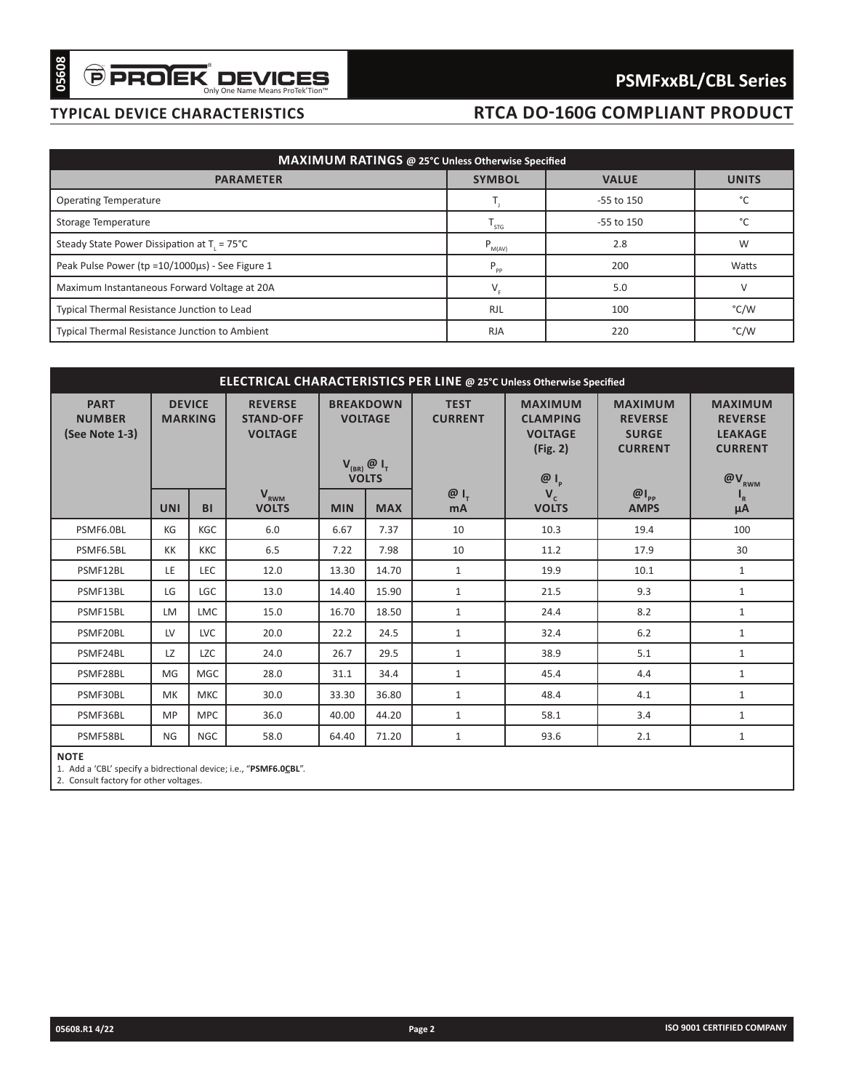# **typical device characteristics**

# **RTCA DO-160G COMPLIANT PRODUCT**

| MAXIMUM RATINGS @ 25°C Unless Otherwise Specified     |               |              |               |  |  |  |  |  |  |
|-------------------------------------------------------|---------------|--------------|---------------|--|--|--|--|--|--|
| <b>PARAMETER</b>                                      | <b>SYMBOL</b> | <b>VALUE</b> | <b>UNITS</b>  |  |  |  |  |  |  |
| <b>Operating Temperature</b>                          |               | -55 to 150   |               |  |  |  |  |  |  |
| Storage Temperature                                   | STG           | -55 to 150   | $\mathcal{C}$ |  |  |  |  |  |  |
| Steady State Power Dissipation at T = 75°C            | $P_{M(AV)}$   | 2.8          | W             |  |  |  |  |  |  |
| Peak Pulse Power (tp = 10/1000us) - See Figure 1      | $P_{\rho p}$  | 200          | Watts         |  |  |  |  |  |  |
| Maximum Instantaneous Forward Voltage at 20A          |               | 5.0          |               |  |  |  |  |  |  |
| Typical Thermal Resistance Junction to Lead           | <b>RJL</b>    | 100          | °C/W          |  |  |  |  |  |  |
| <b>Typical Thermal Resistance Junction to Ambient</b> | <b>RJA</b>    | 220          | °C/W          |  |  |  |  |  |  |

| <b>RTCA DO-160G COMPLIANT PRODUCT</b><br>MAXIMUM RATINGS @ 25°C Unless Otherwise Specified<br><b>PARAMETER</b><br><b>SYMBOL</b><br><b>VALUE</b><br><b>UNITS</b><br><b>Operating Temperature</b><br>-55 to 150<br>°C<br>$T_{\rm j}$<br>°C<br>$T_{STG}$<br>Storage Temperature<br>-55 to 150<br>Steady State Power Dissipation at $T_1 = 75^{\circ}C$<br>$\mathsf{P}_{\underbar{\mathsf{M}}\left(\mathsf{AV}\right)}$<br>2.8<br>W<br>Peak Pulse Power (tp = 10/1000us) - See Figure 1<br>$\mathsf{P}_{\mathsf{pp}}$<br>200<br>Watts<br>$V_F$<br>5.0<br>$\vee$<br>Maximum Instantaneous Forward Voltage at 20A<br><b>RJL</b><br>100<br>°C/W<br>Typical Thermal Resistance Junction to Lead<br>220<br>°C/W<br>Typical Thermal Resistance Junction to Ambient<br><b>RJA</b><br>ELECTRICAL CHARACTERISTICS PER LINE @ 25°C Unless Otherwise Specified<br><b>DEVICE</b><br><b>REVERSE</b><br><b>BREAKDOWN</b><br><b>MAXIMUM</b><br><b>PART</b><br><b>TEST</b><br><b>MAXIMUM</b><br><b>MAXIMUM</b><br><b>CURRENT</b><br><b>NUMBER</b><br><b>MARKING</b><br><b>STAND-OFF</b><br><b>VOLTAGE</b><br><b>CLAMPING</b><br><b>REVERSE</b><br><b>REVERSE</b><br>(See Note 1-3)<br><b>VOLTAGE</b><br><b>VOLTAGE</b><br><b>SURGE</b><br><b>LEAKAGE</b><br>(Fig. 2)<br><b>CURRENT</b><br><b>CURRENT</b><br>$V_{(BR)}$ $\emptyset$ $I_{T}$<br><b>VOLTS</b><br>$@I_p$<br>@V <sub>RWM</sub><br>$\mathbf{V}_{\text{RWM}}$<br>$\omega_{I_{T}}$<br>$\omega_{\text{p}}$<br>$V_c$<br>$I_R$<br><b>VOLTS</b><br><b>UNI</b><br>BI<br><b>MIN</b><br><b>MAX</b><br><b>VOLTS</b><br><b>AMPS</b><br>mA<br>μA<br>PSMF6.0BL<br>KGC<br>6.0<br>6.67<br>7.37<br>10<br>100<br>KG<br>10.3<br>19.4<br>PSMF6.5BL<br>6.5<br>7.98<br>17.9<br>30<br>КK<br><b>KKC</b><br>7.22<br>10<br>11.2<br>$\mathbf{1}$<br>LEC<br>14.70<br>$\mathbf{1}$<br>PSMF12BL<br>LE<br>12.0<br>13.30<br>19.9<br>10.1<br>PSMF13BL<br>LGC<br>15.90<br>$\mathbf{1}$<br>$\mathbf{1}$<br>LG<br>13.0<br>14.40<br>21.5<br>9.3<br>$\mathbf{1}$<br>15.0<br>18.50<br>8.2<br>$\mathbf{1}$<br>PSMF15BL<br><b>LM</b><br><b>LMC</b><br>16.70<br>24.4<br>$\mathbf{1}$<br>6.2<br>$\mathbf{1}$<br>PSMF20BL<br>LV<br>LVC<br>20.0<br>22.2<br>24.5<br>32.4<br>LZ<br><b>LZC</b><br>26.7<br>$\mathbf{1}$<br>5.1<br>$\mathbf{1}$<br>PSMF24BL<br>24.0<br>29.5<br>38.9<br>$MGC$<br>PSMF28BL<br>MG<br>28.0<br>31.1<br>34.4<br>$\mathbf{1}$<br>45.4<br>4.4<br>$\mathbf{1}$<br>$\mathbf{1}$<br>PSMF30BL<br>МK<br><b>MKC</b><br>30.0<br>33.30<br>36.80<br>48.4<br>4.1<br>$\mathbf{1}$<br>$\mathbf{1}$<br>$\mathbf{1}$<br>PSMF36BL<br>MP<br><b>MPC</b><br>36.0<br>40.00<br>44.20<br>58.1<br>3.4<br>$\mathbf{1}$<br><b>NGC</b><br>$\mathbf{1}$<br>PSMF58BL<br>NG<br>58.0<br>64.40<br>71.20<br>93.6<br>2.1<br><b>NOTE</b> | 05608                                 | $\widehat{\mathbf{\Theta}}$ PROIEK DEVICES<br><b>PSMFxxBL/CBL Series</b> |  |  |  |  |        |  |  |                            |
|----------------------------------------------------------------------------------------------------------------------------------------------------------------------------------------------------------------------------------------------------------------------------------------------------------------------------------------------------------------------------------------------------------------------------------------------------------------------------------------------------------------------------------------------------------------------------------------------------------------------------------------------------------------------------------------------------------------------------------------------------------------------------------------------------------------------------------------------------------------------------------------------------------------------------------------------------------------------------------------------------------------------------------------------------------------------------------------------------------------------------------------------------------------------------------------------------------------------------------------------------------------------------------------------------------------------------------------------------------------------------------------------------------------------------------------------------------------------------------------------------------------------------------------------------------------------------------------------------------------------------------------------------------------------------------------------------------------------------------------------------------------------------------------------------------------------------------------------------------------------------------------------------------------------------------------------------------------------------------------------------------------------------------------------------------------------------------------------------------------------------------------------------------------------------------------------------------------------------------------------------------------------------------------------------------------------------------------------------------------------------------------------------------------------------------------------------------------------------------------------------------------------------------------------------------------------------------------------------------------------------------------------------------------------------------------------------------------------|---------------------------------------|--------------------------------------------------------------------------|--|--|--|--|--------|--|--|----------------------------|
|                                                                                                                                                                                                                                                                                                                                                                                                                                                                                                                                                                                                                                                                                                                                                                                                                                                                                                                                                                                                                                                                                                                                                                                                                                                                                                                                                                                                                                                                                                                                                                                                                                                                                                                                                                                                                                                                                                                                                                                                                                                                                                                                                                                                                                                                                                                                                                                                                                                                                                                                                                                                                                                                                                                      | <b>TYPICAL DEVICE CHARACTERISTICS</b> |                                                                          |  |  |  |  |        |  |  |                            |
|                                                                                                                                                                                                                                                                                                                                                                                                                                                                                                                                                                                                                                                                                                                                                                                                                                                                                                                                                                                                                                                                                                                                                                                                                                                                                                                                                                                                                                                                                                                                                                                                                                                                                                                                                                                                                                                                                                                                                                                                                                                                                                                                                                                                                                                                                                                                                                                                                                                                                                                                                                                                                                                                                                                      |                                       |                                                                          |  |  |  |  |        |  |  |                            |
|                                                                                                                                                                                                                                                                                                                                                                                                                                                                                                                                                                                                                                                                                                                                                                                                                                                                                                                                                                                                                                                                                                                                                                                                                                                                                                                                                                                                                                                                                                                                                                                                                                                                                                                                                                                                                                                                                                                                                                                                                                                                                                                                                                                                                                                                                                                                                                                                                                                                                                                                                                                                                                                                                                                      |                                       |                                                                          |  |  |  |  |        |  |  |                            |
|                                                                                                                                                                                                                                                                                                                                                                                                                                                                                                                                                                                                                                                                                                                                                                                                                                                                                                                                                                                                                                                                                                                                                                                                                                                                                                                                                                                                                                                                                                                                                                                                                                                                                                                                                                                                                                                                                                                                                                                                                                                                                                                                                                                                                                                                                                                                                                                                                                                                                                                                                                                                                                                                                                                      |                                       |                                                                          |  |  |  |  |        |  |  |                            |
|                                                                                                                                                                                                                                                                                                                                                                                                                                                                                                                                                                                                                                                                                                                                                                                                                                                                                                                                                                                                                                                                                                                                                                                                                                                                                                                                                                                                                                                                                                                                                                                                                                                                                                                                                                                                                                                                                                                                                                                                                                                                                                                                                                                                                                                                                                                                                                                                                                                                                                                                                                                                                                                                                                                      |                                       |                                                                          |  |  |  |  |        |  |  |                            |
|                                                                                                                                                                                                                                                                                                                                                                                                                                                                                                                                                                                                                                                                                                                                                                                                                                                                                                                                                                                                                                                                                                                                                                                                                                                                                                                                                                                                                                                                                                                                                                                                                                                                                                                                                                                                                                                                                                                                                                                                                                                                                                                                                                                                                                                                                                                                                                                                                                                                                                                                                                                                                                                                                                                      |                                       |                                                                          |  |  |  |  |        |  |  |                            |
|                                                                                                                                                                                                                                                                                                                                                                                                                                                                                                                                                                                                                                                                                                                                                                                                                                                                                                                                                                                                                                                                                                                                                                                                                                                                                                                                                                                                                                                                                                                                                                                                                                                                                                                                                                                                                                                                                                                                                                                                                                                                                                                                                                                                                                                                                                                                                                                                                                                                                                                                                                                                                                                                                                                      |                                       |                                                                          |  |  |  |  |        |  |  |                            |
|                                                                                                                                                                                                                                                                                                                                                                                                                                                                                                                                                                                                                                                                                                                                                                                                                                                                                                                                                                                                                                                                                                                                                                                                                                                                                                                                                                                                                                                                                                                                                                                                                                                                                                                                                                                                                                                                                                                                                                                                                                                                                                                                                                                                                                                                                                                                                                                                                                                                                                                                                                                                                                                                                                                      |                                       |                                                                          |  |  |  |  |        |  |  |                            |
|                                                                                                                                                                                                                                                                                                                                                                                                                                                                                                                                                                                                                                                                                                                                                                                                                                                                                                                                                                                                                                                                                                                                                                                                                                                                                                                                                                                                                                                                                                                                                                                                                                                                                                                                                                                                                                                                                                                                                                                                                                                                                                                                                                                                                                                                                                                                                                                                                                                                                                                                                                                                                                                                                                                      |                                       |                                                                          |  |  |  |  |        |  |  |                            |
|                                                                                                                                                                                                                                                                                                                                                                                                                                                                                                                                                                                                                                                                                                                                                                                                                                                                                                                                                                                                                                                                                                                                                                                                                                                                                                                                                                                                                                                                                                                                                                                                                                                                                                                                                                                                                                                                                                                                                                                                                                                                                                                                                                                                                                                                                                                                                                                                                                                                                                                                                                                                                                                                                                                      |                                       |                                                                          |  |  |  |  |        |  |  |                            |
|                                                                                                                                                                                                                                                                                                                                                                                                                                                                                                                                                                                                                                                                                                                                                                                                                                                                                                                                                                                                                                                                                                                                                                                                                                                                                                                                                                                                                                                                                                                                                                                                                                                                                                                                                                                                                                                                                                                                                                                                                                                                                                                                                                                                                                                                                                                                                                                                                                                                                                                                                                                                                                                                                                                      |                                       |                                                                          |  |  |  |  |        |  |  |                            |
|                                                                                                                                                                                                                                                                                                                                                                                                                                                                                                                                                                                                                                                                                                                                                                                                                                                                                                                                                                                                                                                                                                                                                                                                                                                                                                                                                                                                                                                                                                                                                                                                                                                                                                                                                                                                                                                                                                                                                                                                                                                                                                                                                                                                                                                                                                                                                                                                                                                                                                                                                                                                                                                                                                                      |                                       |                                                                          |  |  |  |  |        |  |  |                            |
|                                                                                                                                                                                                                                                                                                                                                                                                                                                                                                                                                                                                                                                                                                                                                                                                                                                                                                                                                                                                                                                                                                                                                                                                                                                                                                                                                                                                                                                                                                                                                                                                                                                                                                                                                                                                                                                                                                                                                                                                                                                                                                                                                                                                                                                                                                                                                                                                                                                                                                                                                                                                                                                                                                                      |                                       |                                                                          |  |  |  |  |        |  |  |                            |
|                                                                                                                                                                                                                                                                                                                                                                                                                                                                                                                                                                                                                                                                                                                                                                                                                                                                                                                                                                                                                                                                                                                                                                                                                                                                                                                                                                                                                                                                                                                                                                                                                                                                                                                                                                                                                                                                                                                                                                                                                                                                                                                                                                                                                                                                                                                                                                                                                                                                                                                                                                                                                                                                                                                      |                                       |                                                                          |  |  |  |  |        |  |  |                            |
|                                                                                                                                                                                                                                                                                                                                                                                                                                                                                                                                                                                                                                                                                                                                                                                                                                                                                                                                                                                                                                                                                                                                                                                                                                                                                                                                                                                                                                                                                                                                                                                                                                                                                                                                                                                                                                                                                                                                                                                                                                                                                                                                                                                                                                                                                                                                                                                                                                                                                                                                                                                                                                                                                                                      |                                       |                                                                          |  |  |  |  |        |  |  |                            |
|                                                                                                                                                                                                                                                                                                                                                                                                                                                                                                                                                                                                                                                                                                                                                                                                                                                                                                                                                                                                                                                                                                                                                                                                                                                                                                                                                                                                                                                                                                                                                                                                                                                                                                                                                                                                                                                                                                                                                                                                                                                                                                                                                                                                                                                                                                                                                                                                                                                                                                                                                                                                                                                                                                                      |                                       |                                                                          |  |  |  |  |        |  |  |                            |
|                                                                                                                                                                                                                                                                                                                                                                                                                                                                                                                                                                                                                                                                                                                                                                                                                                                                                                                                                                                                                                                                                                                                                                                                                                                                                                                                                                                                                                                                                                                                                                                                                                                                                                                                                                                                                                                                                                                                                                                                                                                                                                                                                                                                                                                                                                                                                                                                                                                                                                                                                                                                                                                                                                                      |                                       |                                                                          |  |  |  |  |        |  |  |                            |
|                                                                                                                                                                                                                                                                                                                                                                                                                                                                                                                                                                                                                                                                                                                                                                                                                                                                                                                                                                                                                                                                                                                                                                                                                                                                                                                                                                                                                                                                                                                                                                                                                                                                                                                                                                                                                                                                                                                                                                                                                                                                                                                                                                                                                                                                                                                                                                                                                                                                                                                                                                                                                                                                                                                      |                                       |                                                                          |  |  |  |  |        |  |  |                            |
|                                                                                                                                                                                                                                                                                                                                                                                                                                                                                                                                                                                                                                                                                                                                                                                                                                                                                                                                                                                                                                                                                                                                                                                                                                                                                                                                                                                                                                                                                                                                                                                                                                                                                                                                                                                                                                                                                                                                                                                                                                                                                                                                                                                                                                                                                                                                                                                                                                                                                                                                                                                                                                                                                                                      |                                       |                                                                          |  |  |  |  |        |  |  |                            |
|                                                                                                                                                                                                                                                                                                                                                                                                                                                                                                                                                                                                                                                                                                                                                                                                                                                                                                                                                                                                                                                                                                                                                                                                                                                                                                                                                                                                                                                                                                                                                                                                                                                                                                                                                                                                                                                                                                                                                                                                                                                                                                                                                                                                                                                                                                                                                                                                                                                                                                                                                                                                                                                                                                                      |                                       |                                                                          |  |  |  |  |        |  |  |                            |
|                                                                                                                                                                                                                                                                                                                                                                                                                                                                                                                                                                                                                                                                                                                                                                                                                                                                                                                                                                                                                                                                                                                                                                                                                                                                                                                                                                                                                                                                                                                                                                                                                                                                                                                                                                                                                                                                                                                                                                                                                                                                                                                                                                                                                                                                                                                                                                                                                                                                                                                                                                                                                                                                                                                      |                                       |                                                                          |  |  |  |  |        |  |  |                            |
|                                                                                                                                                                                                                                                                                                                                                                                                                                                                                                                                                                                                                                                                                                                                                                                                                                                                                                                                                                                                                                                                                                                                                                                                                                                                                                                                                                                                                                                                                                                                                                                                                                                                                                                                                                                                                                                                                                                                                                                                                                                                                                                                                                                                                                                                                                                                                                                                                                                                                                                                                                                                                                                                                                                      |                                       |                                                                          |  |  |  |  |        |  |  |                            |
|                                                                                                                                                                                                                                                                                                                                                                                                                                                                                                                                                                                                                                                                                                                                                                                                                                                                                                                                                                                                                                                                                                                                                                                                                                                                                                                                                                                                                                                                                                                                                                                                                                                                                                                                                                                                                                                                                                                                                                                                                                                                                                                                                                                                                                                                                                                                                                                                                                                                                                                                                                                                                                                                                                                      |                                       |                                                                          |  |  |  |  |        |  |  |                            |
|                                                                                                                                                                                                                                                                                                                                                                                                                                                                                                                                                                                                                                                                                                                                                                                                                                                                                                                                                                                                                                                                                                                                                                                                                                                                                                                                                                                                                                                                                                                                                                                                                                                                                                                                                                                                                                                                                                                                                                                                                                                                                                                                                                                                                                                                                                                                                                                                                                                                                                                                                                                                                                                                                                                      |                                       |                                                                          |  |  |  |  |        |  |  |                            |
|                                                                                                                                                                                                                                                                                                                                                                                                                                                                                                                                                                                                                                                                                                                                                                                                                                                                                                                                                                                                                                                                                                                                                                                                                                                                                                                                                                                                                                                                                                                                                                                                                                                                                                                                                                                                                                                                                                                                                                                                                                                                                                                                                                                                                                                                                                                                                                                                                                                                                                                                                                                                                                                                                                                      |                                       |                                                                          |  |  |  |  |        |  |  |                            |
|                                                                                                                                                                                                                                                                                                                                                                                                                                                                                                                                                                                                                                                                                                                                                                                                                                                                                                                                                                                                                                                                                                                                                                                                                                                                                                                                                                                                                                                                                                                                                                                                                                                                                                                                                                                                                                                                                                                                                                                                                                                                                                                                                                                                                                                                                                                                                                                                                                                                                                                                                                                                                                                                                                                      |                                       |                                                                          |  |  |  |  |        |  |  |                            |
| 1. Add a 'CBL' specify a bidrectional device; i.e., "PSMF6.OCBL".<br>2. Consult factory for other voltages.                                                                                                                                                                                                                                                                                                                                                                                                                                                                                                                                                                                                                                                                                                                                                                                                                                                                                                                                                                                                                                                                                                                                                                                                                                                                                                                                                                                                                                                                                                                                                                                                                                                                                                                                                                                                                                                                                                                                                                                                                                                                                                                                                                                                                                                                                                                                                                                                                                                                                                                                                                                                          |                                       |                                                                          |  |  |  |  |        |  |  |                            |
|                                                                                                                                                                                                                                                                                                                                                                                                                                                                                                                                                                                                                                                                                                                                                                                                                                                                                                                                                                                                                                                                                                                                                                                                                                                                                                                                                                                                                                                                                                                                                                                                                                                                                                                                                                                                                                                                                                                                                                                                                                                                                                                                                                                                                                                                                                                                                                                                                                                                                                                                                                                                                                                                                                                      |                                       |                                                                          |  |  |  |  |        |  |  |                            |
|                                                                                                                                                                                                                                                                                                                                                                                                                                                                                                                                                                                                                                                                                                                                                                                                                                                                                                                                                                                                                                                                                                                                                                                                                                                                                                                                                                                                                                                                                                                                                                                                                                                                                                                                                                                                                                                                                                                                                                                                                                                                                                                                                                                                                                                                                                                                                                                                                                                                                                                                                                                                                                                                                                                      |                                       |                                                                          |  |  |  |  |        |  |  |                            |
|                                                                                                                                                                                                                                                                                                                                                                                                                                                                                                                                                                                                                                                                                                                                                                                                                                                                                                                                                                                                                                                                                                                                                                                                                                                                                                                                                                                                                                                                                                                                                                                                                                                                                                                                                                                                                                                                                                                                                                                                                                                                                                                                                                                                                                                                                                                                                                                                                                                                                                                                                                                                                                                                                                                      |                                       |                                                                          |  |  |  |  |        |  |  |                            |
|                                                                                                                                                                                                                                                                                                                                                                                                                                                                                                                                                                                                                                                                                                                                                                                                                                                                                                                                                                                                                                                                                                                                                                                                                                                                                                                                                                                                                                                                                                                                                                                                                                                                                                                                                                                                                                                                                                                                                                                                                                                                                                                                                                                                                                                                                                                                                                                                                                                                                                                                                                                                                                                                                                                      | 05608.R14/22                          |                                                                          |  |  |  |  | Page 2 |  |  | ISO 9001 CERTIFIED COMPANY |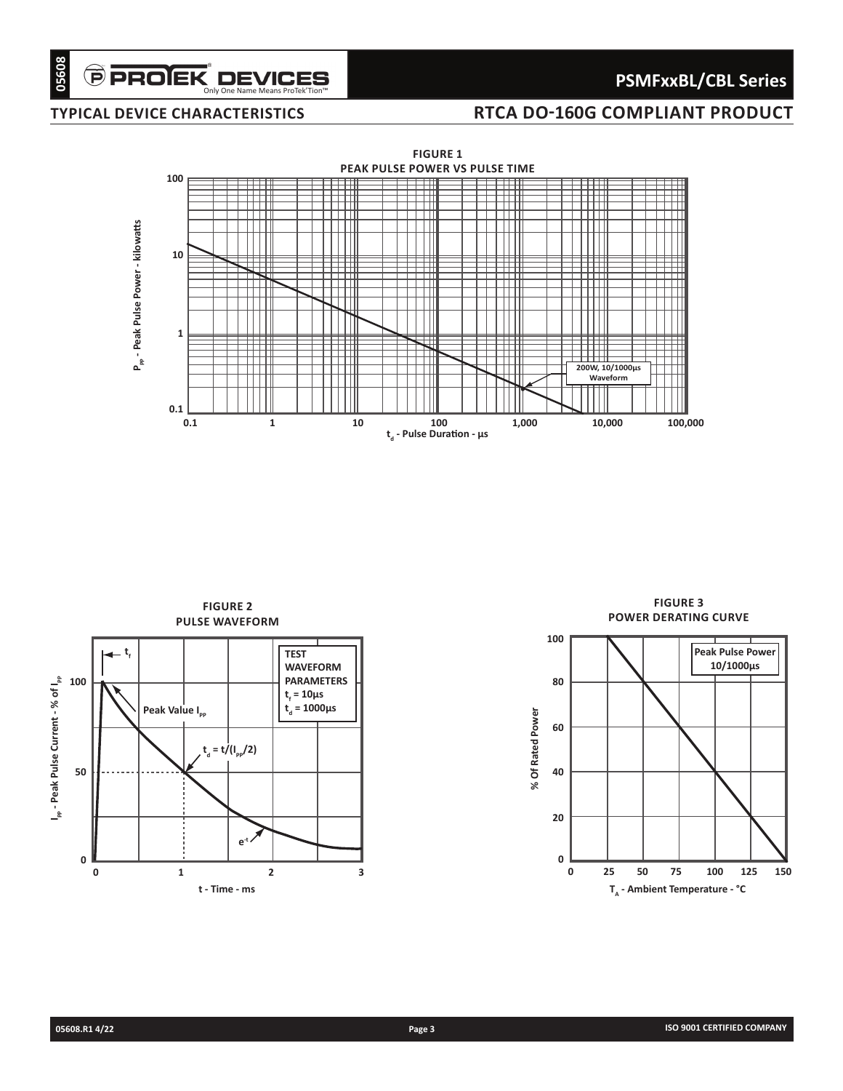# **PSMFxxBL/CBL Series**

# **typical device characteristics**

# **RTCA DO-160G COMPLIANT PRODUCT**



**figure 2 PULSE WAVEFORM tf** Peak Value I<sub>PP</sub> **TEST WAVEFORM PARAMETERS**  $t_f$  = 10 $\mu$ s **td = 1000µs**  $t_{d} = t/(I_{pp}/2)$ **e-t 0 1 2 3 t - Time - ms 0 50 100 I**  $_{\sf pp}$  - Peak Pulse Current - % of I $_{\sf pp}$ 

**POWER DERATING CURVE 100 Peak Pulse Power 10/1000µs 80** % Of Rated Power **% Of Rated Power 60 40 20 0 0 25 50 75 100 125 150** T<sub>A</sub> - Ambient Temperature - °C

**figure 3**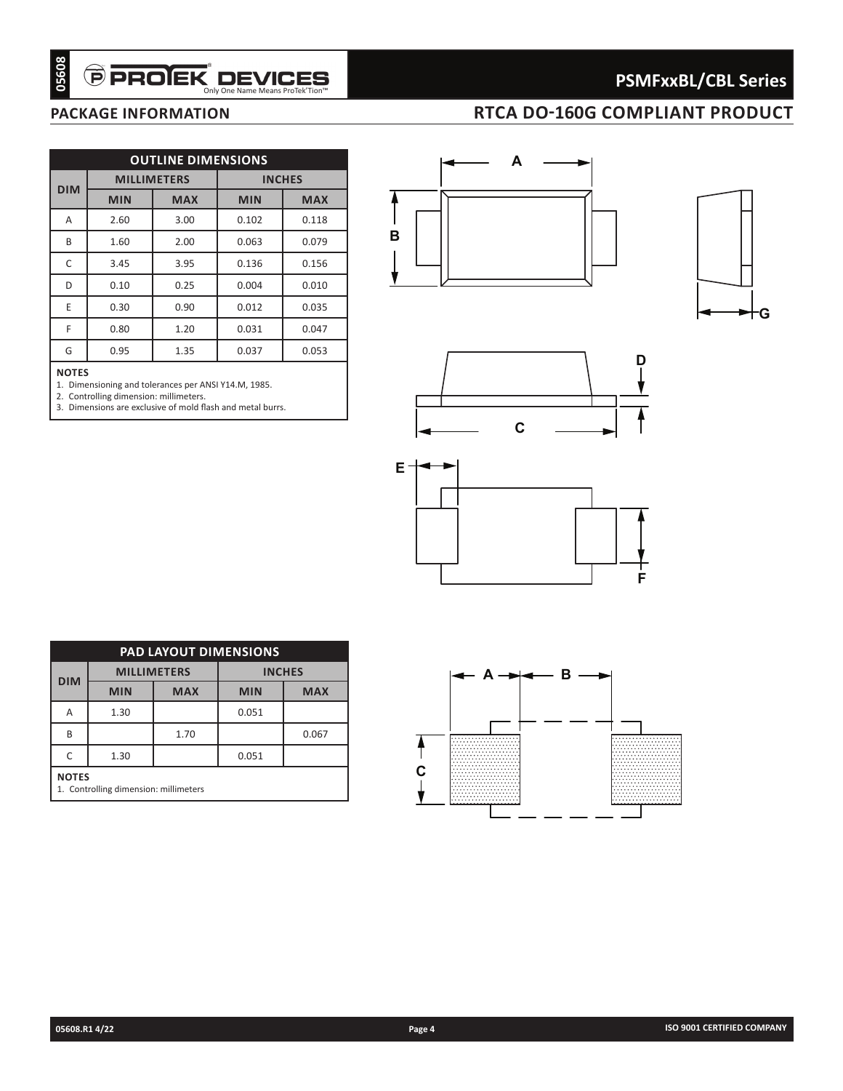# **PSMFxxBL/CBL Series**

# **package information RTCA DO-160G COMPLIANT PRODUCT**

|                   |                                               | <b>OUTLINE DIMENSIONS</b><br><b>MILLIMETERS</b>    |            | <b>INCHES</b> |
|-------------------|-----------------------------------------------|----------------------------------------------------|------------|---------------|
| <b>DIM</b>        | <b>MIN</b>                                    | <b>MAX</b>                                         | <b>MIN</b> | <b>MAX</b>    |
| A                 | 2.60                                          | 3.00                                               | 0.102      | 0.118         |
| B                 | 1.60                                          | 2.00                                               | 0.063      | 0.079         |
| C                 | 3.45                                          | 3.95                                               | 0.136      | 0.156         |
| D                 | 0.10                                          | 0.25                                               | 0.004      | 0.010         |
| Ε                 | 0.30                                          | 0.90                                               | 0.012      | 0.035         |
| F                 | 0.80                                          | 1.20                                               | 0.031      | 0.047         |
| G                 | 0.95                                          | 1.35                                               | 0.037      | 0.053         |
|                   |                                               |                                                    |            |               |
|                   |                                               |                                                    |            |               |
|                   |                                               |                                                    |            |               |
|                   |                                               | <b>PAD LAYOUT DIMENSIONS</b><br><b>MILLIMETERS</b> |            | <b>INCHES</b> |
| <b>DIM</b>        | <b>MIN</b>                                    | <b>MAX</b>                                         | <b>MIN</b> | <b>MAX</b>    |
| Α                 | 1.30                                          |                                                    | 0.051      |               |
| B                 |                                               | 1.70                                               |            | 0.067         |
| C<br><b>NOTES</b> | 1.30<br>1. Controlling dimension: millimeters |                                                    | 0.051      |               |

### **NOTEs**









| <b>PAD LAYOUT DIMENSIONS</b> |                                                       |                    |               |            |  |  |  |  |  |
|------------------------------|-------------------------------------------------------|--------------------|---------------|------------|--|--|--|--|--|
|                              |                                                       | <b>MILLIMETERS</b> | <b>INCHES</b> |            |  |  |  |  |  |
| <b>DIM</b>                   | <b>MIN</b>                                            | <b>MAX</b>         | <b>MIN</b>    | <b>MAX</b> |  |  |  |  |  |
| А                            | 1.30                                                  | 0.051              |               |            |  |  |  |  |  |
| B                            |                                                       | 1.70               |               | 0.067      |  |  |  |  |  |
| C                            | 0.051<br>1.30                                         |                    |               |            |  |  |  |  |  |
|                              | <b>NOTES</b><br>1. Controlling dimension: millimeters |                    |               |            |  |  |  |  |  |

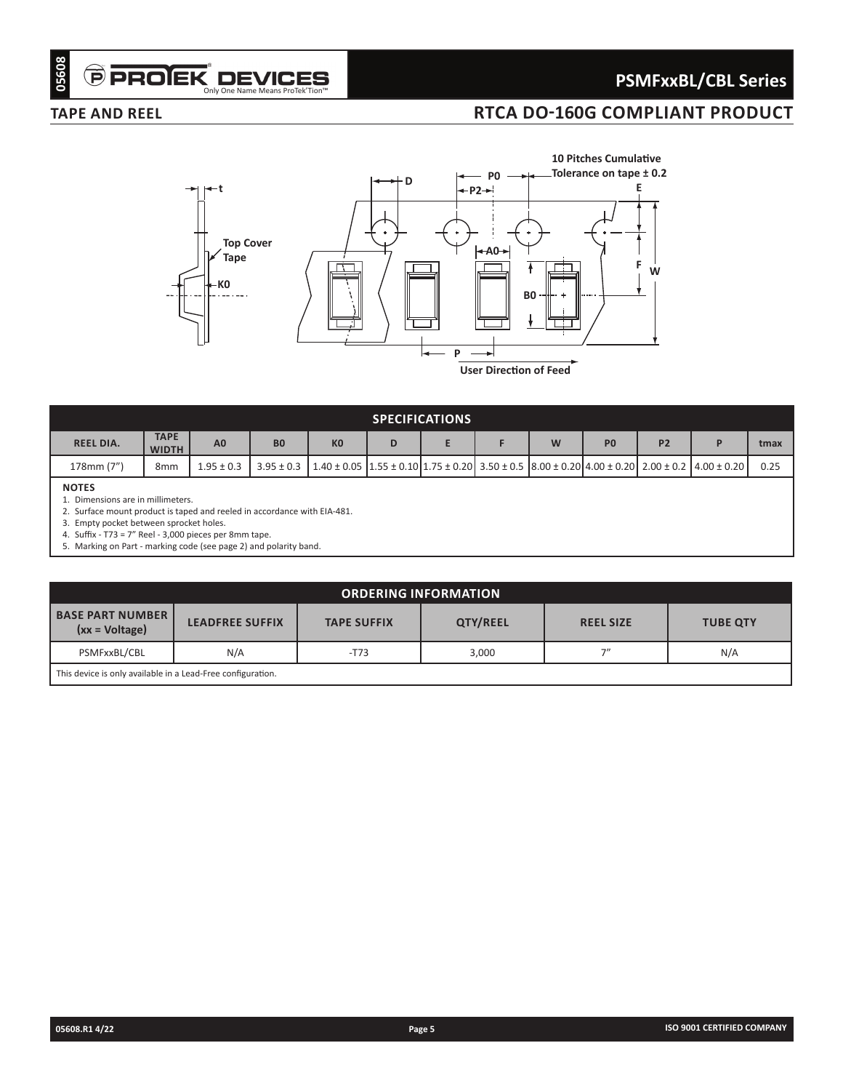# **PSMFxxBL/CBL Series**

# **TAPE AND REEL RTCA DO-160G COMPLIANT PRODUCT**



| <b>SPECIFICATIONS</b>                          |                             |                |           |                                                                                                                                                              |   |  |  |   |                |                |  |      |
|------------------------------------------------|-----------------------------|----------------|-----------|--------------------------------------------------------------------------------------------------------------------------------------------------------------|---|--|--|---|----------------|----------------|--|------|
| <b>REEL DIA.</b>                               | <b>TAPE</b><br><b>WIDTH</b> | A <sub>0</sub> | <b>B0</b> | K <sub>0</sub>                                                                                                                                               | D |  |  | W | P <sub>0</sub> | P <sub>2</sub> |  | tmax |
| 178mm (7")                                     | 8mm                         | $1.95 \pm 0.3$ |           | $3.95 \pm 0.3$   1.40 $\pm$ 0.05   1.55 $\pm$ 0.10   1.75 $\pm$ 0.20   3.50 $\pm$ 0.5   8.00 $\pm$ 0.20   4.00 $\pm$ 0.20   2.00 $\pm$ 0.2   4.00 $\pm$ 0.20 |   |  |  |   |                |                |  | 0.25 |
| <b>NOTES</b><br>Dimensions are in millimeters. |                             |                |           |                                                                                                                                                              |   |  |  |   |                |                |  |      |

2. Surface mount product is taped and reeled in accordance with EIA-481.

3. Empty pocket between sprocket holes.

4. Suffix - T73 = 7" Reel - 3,000 pieces per 8mm tape.

5. Marking on Part - marking code (see page 2) and polarity band.

| <b>ORDERING INFORMATION</b>                                 |                                                                              |        |       |     |     |  |  |  |  |
|-------------------------------------------------------------|------------------------------------------------------------------------------|--------|-------|-----|-----|--|--|--|--|
| <b>BASE PART NUMBER  </b><br>$(xx = Voltage)$               | QTY/REEL<br><b>LEADFREE SUFFIX</b><br><b>TAPE SUFFIX</b><br><b>REEL SIZE</b> |        |       |     |     |  |  |  |  |
| PSMFxxBL/CBL                                                | N/A                                                                          | $-T73$ | 3.000 | 7'' | N/A |  |  |  |  |
| This device is only available in a Lead-Free configuration. |                                                                              |        |       |     |     |  |  |  |  |